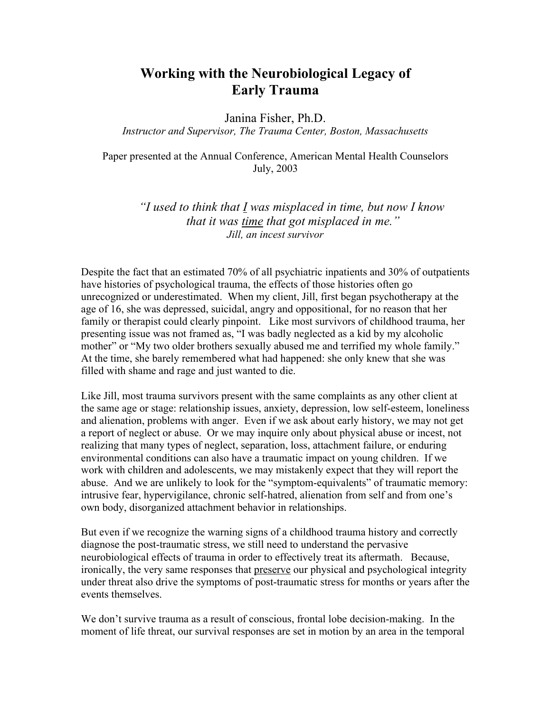## Working with the Neurobiological Legacy of Early Trauma

Janina Fisher, Ph.D.

*Instructor and Supervisor, The Trauma Center, Boston, Massachusetts*

Paper presented at the Annual Conference, American Mental Health Counselors July, 2003

> *"I used to think that I was misplaced in time, but now I know that it was time that got misplaced in me." Jill, an incest survivor*

Despite the fact that an estimated 70% of all psychiatric inpatients and 30% of outpatients have histories of psychological trauma, the effects of those histories often go unrecognized or underestimated. When my client, Jill, first began psychotherapy at the age of 16, she was depressed, suicidal, angry and oppositional, for no reason that her family or therapist could clearly pinpoint. Like most survivors of childhood trauma, her presenting issue was not framed as, "I was badly neglected as a kid by my alcoholic mother" or "My two older brothers sexually abused me and terrified my whole family." At the time, she barely remembered what had happened: she only knew that she was filled with shame and rage and just wanted to die.

Like Jill, most trauma survivors present with the same complaints as any other client at the same age or stage: relationship issues, anxiety, depression, low self-esteem, loneliness and alienation, problems with anger. Even if we ask about early history, we may not get a report of neglect or abuse. Or we may inquire only about physical abuse or incest, not realizing that many types of neglect, separation, loss, attachment failure, or enduring environmental conditions can also have a traumatic impact on young children. If we work with children and adolescents, we may mistakenly expect that they will report the abuse. And we are unlikely to look for the "symptom-equivalents" of traumatic memory: intrusive fear, hypervigilance, chronic self-hatred, alienation from self and from one's own body, disorganized attachment behavior in relationships.

But even if we recognize the warning signs of a childhood trauma history and correctly diagnose the post-traumatic stress, we still need to understand the pervasive neurobiological effects of trauma in order to effectively treat its aftermath. Because, ironically, the very same responses that preserve our physical and psychological integrity under threat also drive the symptoms of post-traumatic stress for months or years after the events themselves.

We don't survive trauma as a result of conscious, frontal lobe decision-making. In the moment of life threat, our survival responses are set in motion by an area in the temporal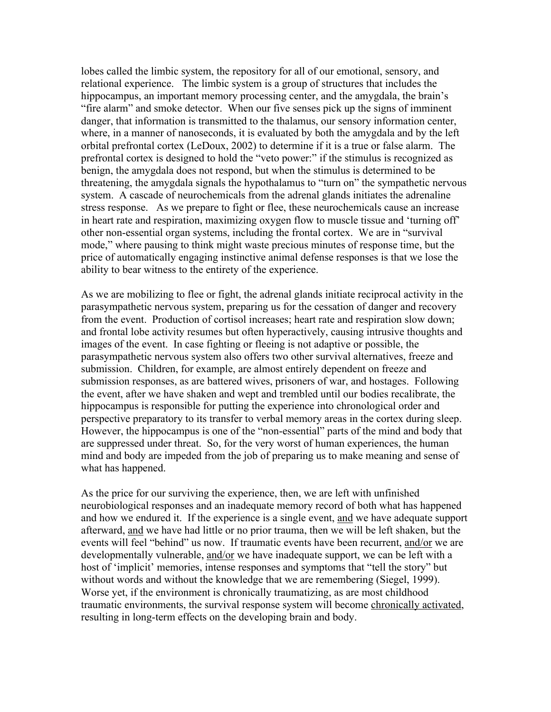lobes called the limbic system, the repository for all of our emotional, sensory, and relational experience. The limbic system is a group of structures that includes the hippocampus, an important memory processing center, and the amygdala, the brain's "fire alarm" and smoke detector. When our five senses pick up the signs of imminent danger, that information is transmitted to the thalamus, our sensory information center, where, in a manner of nanoseconds, it is evaluated by both the amygdala and by the left orbital prefrontal cortex (LeDoux, 2002) to determine if it is a true or false alarm. The prefrontal cortex is designed to hold the "veto power:" if the stimulus is recognized as benign, the amygdala does not respond, but when the stimulus is determined to be threatening, the amygdala signals the hypothalamus to "turn on" the sympathetic nervous system. A cascade of neurochemicals from the adrenal glands initiates the adrenaline stress response. As we prepare to fight or flee, these neurochemicals cause an increase in heart rate and respiration, maximizing oxygen flow to muscle tissue and 'turning off' other non-essential organ systems, including the frontal cortex. We are in "survival mode," where pausing to think might waste precious minutes of response time, but the price of automatically engaging instinctive animal defense responses is that we lose the ability to bear witness to the entirety of the experience.

As we are mobilizing to flee or fight, the adrenal glands initiate reciprocal activity in the parasympathetic nervous system, preparing us for the cessation of danger and recovery from the event. Production of cortisol increases; heart rate and respiration slow down; and frontal lobe activity resumes but often hyperactively, causing intrusive thoughts and images of the event. In case fighting or fleeing is not adaptive or possible, the parasympathetic nervous system also offers two other survival alternatives, freeze and submission. Children, for example, are almost entirely dependent on freeze and submission responses, as are battered wives, prisoners of war, and hostages. Following the event, after we have shaken and wept and trembled until our bodies recalibrate, the hippocampus is responsible for putting the experience into chronological order and perspective preparatory to its transfer to verbal memory areas in the cortex during sleep. However, the hippocampus is one of the "non-essential" parts of the mind and body that are suppressed under threat. So, for the very worst of human experiences, the human mind and body are impeded from the job of preparing us to make meaning and sense of what has happened.

As the price for our surviving the experience, then, we are left with unfinished neurobiological responses and an inadequate memory record of both what has happened and how we endured it. If the experience is a single event, and we have adequate support afterward, and we have had little or no prior trauma, then we will be left shaken, but the events will feel "behind" us now. If traumatic events have been recurrent, and/or we are developmentally vulnerable, and/or we have inadequate support, we can be left with a host of 'implicit' memories, intense responses and symptoms that "tell the story" but without words and without the knowledge that we are remembering (Siegel, 1999). Worse yet, if the environment is chronically traumatizing, as are most childhood traumatic environments, the survival response system will become chronically activated, resulting in long-term effects on the developing brain and body.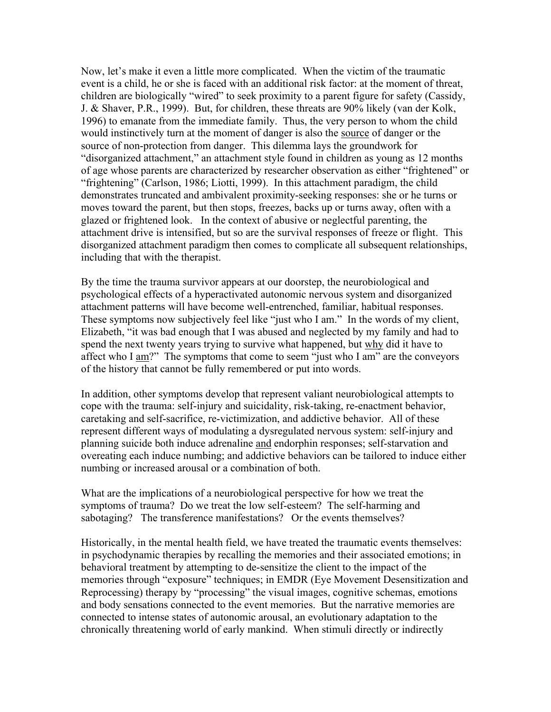Now, let's make it even a little more complicated. When the victim of the traumatic event is a child, he or she is faced with an additional risk factor: at the moment of threat, children are biologically "wired" to seek proximity to a parent figure for safety (Cassidy, J. & Shaver, P.R., 1999). But, for children, these threats are 90% likely (van der Kolk, 1996) to emanate from the immediate family. Thus, the very person to whom the child would instinctively turn at the moment of danger is also the source of danger or the source of non-protection from danger. This dilemma lays the groundwork for "disorganized attachment," an attachment style found in children as young as 12 months of age whose parents are characterized by researcher observation as either "frightened" or "frightening" (Carlson, 1986; Liotti, 1999). In this attachment paradigm, the child demonstrates truncated and ambivalent proximity-seeking responses: she or he turns or moves toward the parent, but then stops, freezes, backs up or turns away, often with a glazed or frightened look. In the context of abusive or neglectful parenting, the attachment drive is intensified, but so are the survival responses of freeze or flight. This disorganized attachment paradigm then comes to complicate all subsequent relationships, including that with the therapist.

By the time the trauma survivor appears at our doorstep, the neurobiological and psychological effects of a hyperactivated autonomic nervous system and disorganized attachment patterns will have become well-entrenched, familiar, habitual responses. These symptoms now subjectively feel like "just who I am." In the words of my client, Elizabeth, "it was bad enough that I was abused and neglected by my family and had to spend the next twenty years trying to survive what happened, but why did it have to affect who I am?" The symptoms that come to seem "just who I am" are the conveyors of the history that cannot be fully remembered or put into words.

In addition, other symptoms develop that represent valiant neurobiological attempts to cope with the trauma: self-injury and suicidality, risk-taking, re-enactment behavior, caretaking and self-sacrifice, re-victimization, and addictive behavior. All of these represent different ways of modulating a dysregulated nervous system: self-injury and planning suicide both induce adrenaline and endorphin responses; self-starvation and overeating each induce numbing; and addictive behaviors can be tailored to induce either numbing or increased arousal or a combination of both.

What are the implications of a neurobiological perspective for how we treat the symptoms of trauma? Do we treat the low self-esteem? The self-harming and sabotaging? The transference manifestations? Or the events themselves?

Historically, in the mental health field, we have treated the traumatic events themselves: in psychodynamic therapies by recalling the memories and their associated emotions; in behavioral treatment by attempting to de-sensitize the client to the impact of the memories through "exposure" techniques; in EMDR (Eye Movement Desensitization and Reprocessing) therapy by "processing" the visual images, cognitive schemas, emotions and body sensations connected to the event memories. But the narrative memories are connected to intense states of autonomic arousal, an evolutionary adaptation to the chronically threatening world of early mankind. When stimuli directly or indirectly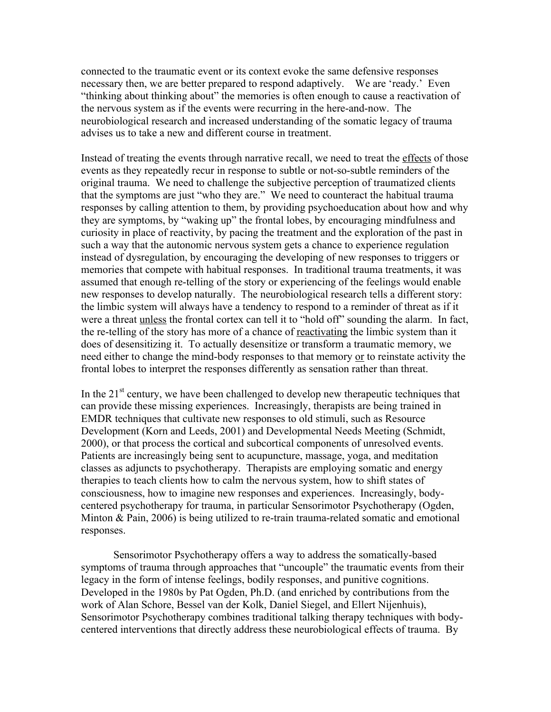connected to the traumatic event or its context evoke the same defensive responses necessary then, we are better prepared to respond adaptively. We are 'ready.' Even "thinking about thinking about" the memories is often enough to cause a reactivation of the nervous system as if the events were recurring in the here-and-now. The neurobiological research and increased understanding of the somatic legacy of trauma advises us to take a new and different course in treatment.

Instead of treating the events through narrative recall, we need to treat the effects of those events as they repeatedly recur in response to subtle or not-so-subtle reminders of the original trauma. We need to challenge the subjective perception of traumatized clients that the symptoms are just "who they are." We need to counteract the habitual trauma responses by calling attention to them, by providing psychoeducation about how and why they are symptoms, by "waking up" the frontal lobes, by encouraging mindfulness and curiosity in place of reactivity, by pacing the treatment and the exploration of the past in such a way that the autonomic nervous system gets a chance to experience regulation instead of dysregulation, by encouraging the developing of new responses to triggers or memories that compete with habitual responses. In traditional trauma treatments, it was assumed that enough re-telling of the story or experiencing of the feelings would enable new responses to develop naturally. The neurobiological research tells a different story: the limbic system will always have a tendency to respond to a reminder of threat as if it were a threat unless the frontal cortex can tell it to "hold off" sounding the alarm. In fact, the re-telling of the story has more of a chance of reactivating the limbic system than it does of desensitizing it. To actually desensitize or transform a traumatic memory, we need either to change the mind-body responses to that memory or to reinstate activity the frontal lobes to interpret the responses differently as sensation rather than threat.

In the  $21<sup>st</sup>$  century, we have been challenged to develop new therapeutic techniques that can provide these missing experiences. Increasingly, therapists are being trained in EMDR techniques that cultivate new responses to old stimuli, such as Resource Development (Korn and Leeds, 2001) and Developmental Needs Meeting (Schmidt, 2000), or that process the cortical and subcortical components of unresolved events. Patients are increasingly being sent to acupuncture, massage, yoga, and meditation classes as adjuncts to psychotherapy. Therapists are employing somatic and energy therapies to teach clients how to calm the nervous system, how to shift states of consciousness, how to imagine new responses and experiences. Increasingly, bodycentered psychotherapy for trauma, in particular Sensorimotor Psychotherapy (Ogden, Minton & Pain, 2006) is being utilized to re-train trauma-related somatic and emotional responses.

Sensorimotor Psychotherapy offers a way to address the somatically-based symptoms of trauma through approaches that "uncouple" the traumatic events from their legacy in the form of intense feelings, bodily responses, and punitive cognitions. Developed in the 1980s by Pat Ogden, Ph.D. (and enriched by contributions from the work of Alan Schore, Bessel van der Kolk, Daniel Siegel, and Ellert Nijenhuis), Sensorimotor Psychotherapy combines traditional talking therapy techniques with bodycentered interventions that directly address these neurobiological effects of trauma. By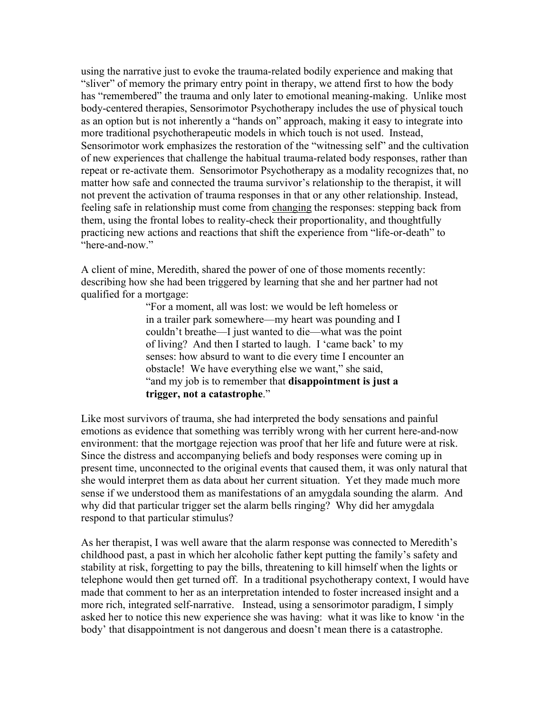using the narrative just to evoke the trauma-related bodily experience and making that "sliver" of memory the primary entry point in therapy, we attend first to how the body has "remembered" the trauma and only later to emotional meaning-making. Unlike most body-centered therapies, Sensorimotor Psychotherapy includes the use of physical touch as an option but is not inherently a "hands on" approach, making it easy to integrate into more traditional psychotherapeutic models in which touch is not used. Instead, Sensorimotor work emphasizes the restoration of the "witnessing self" and the cultivation of new experiences that challenge the habitual trauma-related body responses, rather than repeat or re-activate them. Sensorimotor Psychotherapy as a modality recognizes that, no matter how safe and connected the trauma survivor's relationship to the therapist, it will not prevent the activation of trauma responses in that or any other relationship. Instead, feeling safe in relationship must come from changing the responses: stepping back from them, using the frontal lobes to reality-check their proportionality, and thoughtfully practicing new actions and reactions that shift the experience from "life-or-death" to "here-and-now."

A client of mine, Meredith, shared the power of one of those moments recently: describing how she had been triggered by learning that she and her partner had not qualified for a mortgage:

> "For a moment, all was lost: we would be left homeless or in a trailer park somewhere—my heart was pounding and I couldn't breathe—I just wanted to die—what was the point of living? And then I started to laugh. I 'came back' to my senses: how absurd to want to die every time I encounter an obstacle! We have everything else we want," she said, "and my job is to remember that **disappointment is just a** trigger, not a catastrophe."

Like most survivors of trauma, she had interpreted the body sensations and painful emotions as evidence that something was terribly wrong with her current here-and-now environment: that the mortgage rejection was proof that her life and future were at risk. Since the distress and accompanying beliefs and body responses were coming up in present time, unconnected to the original events that caused them, it was only natural that she would interpret them as data about her current situation. Yet they made much more sense if we understood them as manifestations of an amygdala sounding the alarm. And why did that particular trigger set the alarm bells ringing? Why did her amygdala respond to that particular stimulus?

As her therapist, I was well aware that the alarm response was connected to Meredith's childhood past, a past in which her alcoholic father kept putting the family's safety and stability at risk, forgetting to pay the bills, threatening to kill himself when the lights or telephone would then get turned off. In a traditional psychotherapy context, I would have made that comment to her as an interpretation intended to foster increased insight and a more rich, integrated self-narrative. Instead, using a sensorimotor paradigm, I simply asked her to notice this new experience she was having: what it was like to know 'in the body' that disappointment is not dangerous and doesn't mean there is a catastrophe.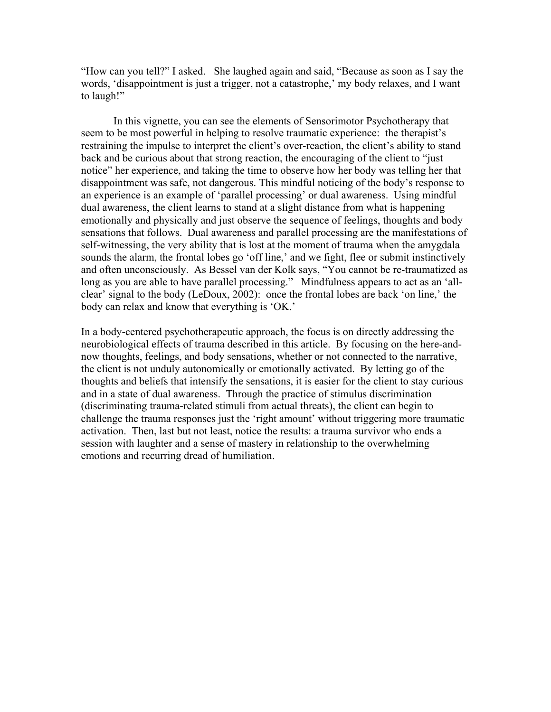"How can you tell?" I asked. She laughed again and said, "Because as soon as I say the words, 'disappointment is just a trigger, not a catastrophe,' my body relaxes, and I want to laugh!"

In this vignette, you can see the elements of Sensorimotor Psychotherapy that seem to be most powerful in helping to resolve traumatic experience: the therapist's restraining the impulse to interpret the client's over-reaction, the client's ability to stand back and be curious about that strong reaction, the encouraging of the client to "just notice" her experience, and taking the time to observe how her body was telling her that disappointment was safe, not dangerous. This mindful noticing of the body's response to an experience is an example of 'parallel processing' or dual awareness. Using mindful dual awareness, the client learns to stand at a slight distance from what is happening emotionally and physically and just observe the sequence of feelings, thoughts and body sensations that follows. Dual awareness and parallel processing are the manifestations of self-witnessing, the very ability that is lost at the moment of trauma when the amygdala sounds the alarm, the frontal lobes go 'off line,' and we fight, flee or submit instinctively and often unconsciously. As Bessel van der Kolk says, "You cannot be re-traumatized as long as you are able to have parallel processing." Mindfulness appears to act as an 'allclear' signal to the body (LeDoux, 2002): once the frontal lobes are back 'on line,' the body can relax and know that everything is 'OK.'

In a body-centered psychotherapeutic approach, the focus is on directly addressing the neurobiological effects of trauma described in this article. By focusing on the here-andnow thoughts, feelings, and body sensations, whether or not connected to the narrative, the client is not unduly autonomically or emotionally activated. By letting go of the thoughts and beliefs that intensify the sensations, it is easier for the client to stay curious and in a state of dual awareness. Through the practice of stimulus discrimination (discriminating trauma-related stimuli from actual threats), the client can begin to challenge the trauma responses just the 'right amount' without triggering more traumatic activation. Then, last but not least, notice the results: a trauma survivor who ends a session with laughter and a sense of mastery in relationship to the overwhelming emotions and recurring dread of humiliation.